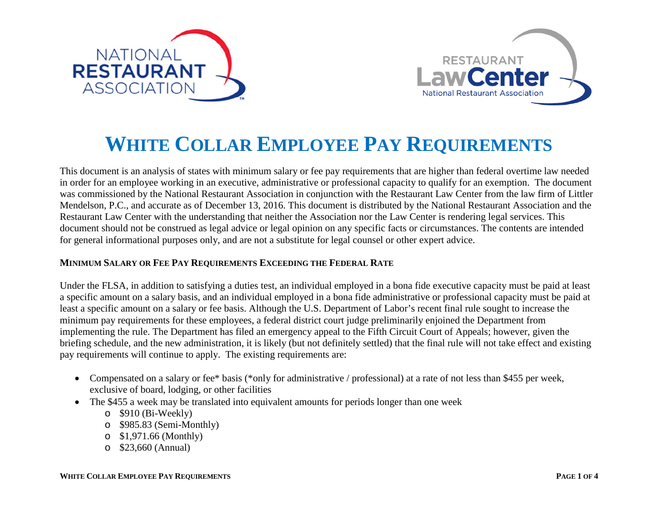



## **WHITE COLLAR EMPLOYEE PAY REQUIREMENTS**

This document is an analysis of states with minimum salary or fee pay requirements that are higher than federal overtime law needed in order for an employee working in an executive, administrative or professional capacity to qualify for an exemption. The document was commissioned by the National Restaurant Association in conjunction with the Restaurant Law Center from the law firm of Littler Mendelson, P.C., and accurate as of December 13, 2016. This document is distributed by the National Restaurant Association and the Restaurant Law Center with the understanding that neither the Association nor the Law Center is rendering legal services. This document should not be construed as legal advice or legal opinion on any specific facts or circumstances. The contents are intended for general informational purposes only, and are not a substitute for legal counsel or other expert advice.

## **MINIMUM SALARY OR FEE PAY REQUIREMENTS EXCEEDING THE FEDERAL RATE**

Under the FLSA, in addition to satisfying a duties test, an individual employed in a bona fide executive capacity must be paid at least a specific amount on a salary basis, and an individual employed in a bona fide administrative or professional capacity must be paid at least a specific amount on a salary or fee basis. Although the U.S. Department of Labor's recent final rule sought to increase the minimum pay requirements for these employees, a federal district court judge preliminarily enjoined the Department from implementing the rule. The Department has filed an emergency appeal to the Fifth Circuit Court of Appeals; however, given the briefing schedule, and the new administration, it is likely (but not definitely settled) that the final rule will not take effect and existing pay requirements will continue to apply. The existing requirements are:

- Compensated on a salary or fee\* basis (\*only for administrative / professional) at a rate of not less than \$455 per week, exclusive of board, lodging, or other facilities
- The \$455 a week may be translated into equivalent amounts for periods longer than one week
	- o \$910 (Bi-Weekly)
	- o \$985.83 (Semi-Monthly)
	- o \$1,971.66 (Monthly)
	- o \$23,660 (Annual)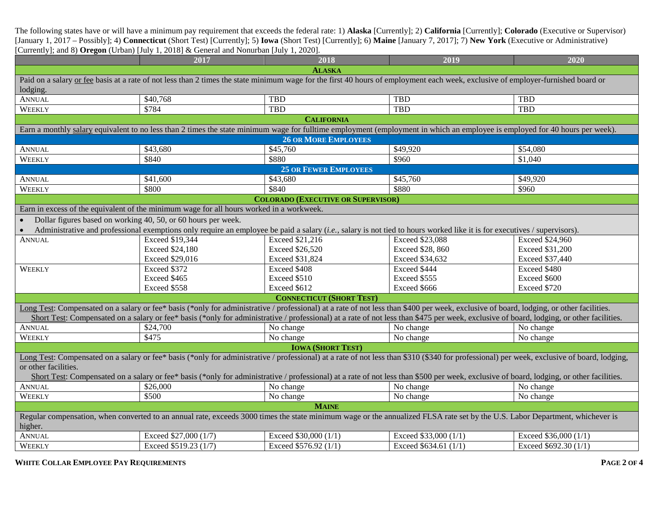The following states have or will have a minimum pay requirement that exceeds the federal rate: 1) **Alaska** [Currently]; 2) **California** [Currently]; **Colorado** (Executive or Supervisor) [January 1, 2017 – Possibly]; 4) **Connecticut** (Short Test) [Currently]; 5) **Iowa** (Short Test) [Currently]; 6) **Maine** [January 7, 2017]; 7) **New York** (Executive or Administrative) [Currently]; and 8) **Oregon** (Urban) [July 1, 2018] & General and Nonurban [July 1, 2020].

|                                                                                                                                                                                              | 2017                                                                                                                                                                                     | 2018                                      | 2019                  | 2020                   |  |  |  |
|----------------------------------------------------------------------------------------------------------------------------------------------------------------------------------------------|------------------------------------------------------------------------------------------------------------------------------------------------------------------------------------------|-------------------------------------------|-----------------------|------------------------|--|--|--|
| <b>ALASKA</b>                                                                                                                                                                                |                                                                                                                                                                                          |                                           |                       |                        |  |  |  |
| Paid on a salary or fee basis at a rate of not less than 2 times the state minimum wage for the first 40 hours of employment each week, exclusive of employer-furnished board or<br>lodging. |                                                                                                                                                                                          |                                           |                       |                        |  |  |  |
| <b>ANNUAL</b>                                                                                                                                                                                | \$40,768                                                                                                                                                                                 | <b>TBD</b>                                | <b>TBD</b>            | <b>TBD</b>             |  |  |  |
| WEEKLY                                                                                                                                                                                       | \$784                                                                                                                                                                                    | <b>TBD</b>                                | TBD                   | <b>TBD</b>             |  |  |  |
| <b>CALIFORNIA</b>                                                                                                                                                                            |                                                                                                                                                                                          |                                           |                       |                        |  |  |  |
|                                                                                                                                                                                              | Earn a monthly salary equivalent to no less than 2 times the state minimum wage for fulltime employment (employment in which an employee is employed for 40 hours per week).             |                                           |                       |                        |  |  |  |
| <b>26 OR MORE EMPLOYEES</b>                                                                                                                                                                  |                                                                                                                                                                                          |                                           |                       |                        |  |  |  |
| <b>ANNUAL</b>                                                                                                                                                                                | \$43,680                                                                                                                                                                                 | \$45,760                                  | \$49,920              | \$54,080               |  |  |  |
| WEEKLY                                                                                                                                                                                       | \$840                                                                                                                                                                                    | \$880                                     | \$960                 | \$1,040                |  |  |  |
|                                                                                                                                                                                              |                                                                                                                                                                                          | <b>25 OR FEWER EMPLOYEES</b>              |                       |                        |  |  |  |
| <b>ANNUAL</b>                                                                                                                                                                                | \$41,600                                                                                                                                                                                 | \$43,680                                  | \$45,760              | \$49,920               |  |  |  |
| WEEKLY                                                                                                                                                                                       | \$800                                                                                                                                                                                    | \$840                                     | \$880                 | \$960                  |  |  |  |
|                                                                                                                                                                                              |                                                                                                                                                                                          | <b>COLORADO (EXECUTIVE OR SUPERVISOR)</b> |                       |                        |  |  |  |
|                                                                                                                                                                                              | Earn in excess of the equivalent of the minimum wage for all hours worked in a workweek.                                                                                                 |                                           |                       |                        |  |  |  |
| Dollar figures based on working 40, 50, or 60 hours per week.                                                                                                                                |                                                                                                                                                                                          |                                           |                       |                        |  |  |  |
|                                                                                                                                                                                              | Administrative and professional exemptions only require an employee be paid a salary (i.e., salary is not tied to hours worked like it is for executives / supervisors).                 |                                           |                       |                        |  |  |  |
| <b>ANNUAL</b>                                                                                                                                                                                | Exceed \$19,344                                                                                                                                                                          | <b>Exceed \$21,216</b>                    | Exceed \$23,088       | <b>Exceed \$24,960</b> |  |  |  |
|                                                                                                                                                                                              | Exceed \$24,180                                                                                                                                                                          | <b>Exceed \$26,520</b>                    | Exceed \$28, 860      | Exceed \$31,200        |  |  |  |
|                                                                                                                                                                                              | Exceed \$29,016                                                                                                                                                                          | Exceed \$31,824                           | Exceed \$34,632       | Exceed \$37,440        |  |  |  |
| WEEKLY                                                                                                                                                                                       | Exceed \$372                                                                                                                                                                             | Exceed \$408                              | Exceed \$444          | Exceed \$480           |  |  |  |
|                                                                                                                                                                                              | Exceed \$465                                                                                                                                                                             | Exceed \$510                              | Exceed \$555          | Exceed \$600           |  |  |  |
|                                                                                                                                                                                              | Exceed \$558                                                                                                                                                                             | Exceed \$612                              | Exceed \$666          | Exceed \$720           |  |  |  |
|                                                                                                                                                                                              |                                                                                                                                                                                          | <b>CONNECTICUT (SHORT TEST)</b>           |                       |                        |  |  |  |
|                                                                                                                                                                                              | Long Test: Compensated on a salary or fee* basis (*only for administrative / professional) at a rate of not less than \$400 per week, exclusive of board, lodging, or other facilities.  |                                           |                       |                        |  |  |  |
|                                                                                                                                                                                              | Short Test: Compensated on a salary or fee* basis (*only for administrative / professional) at a rate of not less than \$475 per week, exclusive of board, lodging, or other facilities. |                                           |                       |                        |  |  |  |
| <b>ANNUAL</b>                                                                                                                                                                                | \$24,700                                                                                                                                                                                 | No change                                 | No change             | No change              |  |  |  |
| WEEKLY                                                                                                                                                                                       | \$475                                                                                                                                                                                    | No change                                 | No change             | No change              |  |  |  |
| <b>IOWA (SHORT TEST)</b>                                                                                                                                                                     |                                                                                                                                                                                          |                                           |                       |                        |  |  |  |
| Long Test: Compensated on a salary or fee* basis (*only for administrative / professional) at a rate of not less than \$310 (\$340 for professional) per week, exclusive of board, lodging,  |                                                                                                                                                                                          |                                           |                       |                        |  |  |  |
| or other facilities.                                                                                                                                                                         |                                                                                                                                                                                          |                                           |                       |                        |  |  |  |
| Short Test: Compensated on a salary or fee* basis (*only for administrative / professional) at a rate of not less than \$500 per week, exclusive of board, lodging, or other facilities.     |                                                                                                                                                                                          |                                           |                       |                        |  |  |  |
| <b>ANNUAL</b>                                                                                                                                                                                | \$26,000                                                                                                                                                                                 | No change                                 | No change             | No change              |  |  |  |
| WEEKLY                                                                                                                                                                                       | \$500                                                                                                                                                                                    | No change                                 | No change             | No change              |  |  |  |
| <b>MAINE</b>                                                                                                                                                                                 |                                                                                                                                                                                          |                                           |                       |                        |  |  |  |
| Regular compensation, when converted to an annual rate, exceeds 3000 times the state minimum wage or the annualized FLSA rate set by the U.S. Labor Department, whichever is<br>higher.      |                                                                                                                                                                                          |                                           |                       |                        |  |  |  |
| <b>ANNUAL</b>                                                                                                                                                                                | Exceed \$27,000 (1/7)                                                                                                                                                                    | Exceed \$30,000 (1/1)                     | Exceed \$33,000 (1/1) | Exceed \$36,000 (1/1)  |  |  |  |
| WEEKLY                                                                                                                                                                                       | Exceed \$519.23 (1/7)                                                                                                                                                                    | Exceed \$576.92 (1/1)                     | Exceed \$634.61 (1/1) | Exceed \$692.30 (1/1)  |  |  |  |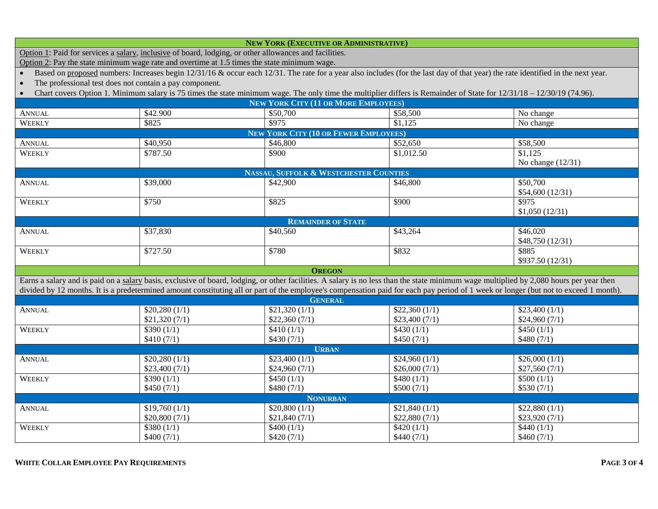| <b>NEW YORK (EXECUTIVE OR ADMINISTRATIVE)</b>                                                                                                                                        |                                                                                                                                                                                                                                                                                                                                                                                 |                                                   |               |                      |  |  |  |
|--------------------------------------------------------------------------------------------------------------------------------------------------------------------------------------|---------------------------------------------------------------------------------------------------------------------------------------------------------------------------------------------------------------------------------------------------------------------------------------------------------------------------------------------------------------------------------|---------------------------------------------------|---------------|----------------------|--|--|--|
| Option 1: Paid for services a salary, inclusive of board, lodging, or other allowances and facilities.                                                                               |                                                                                                                                                                                                                                                                                                                                                                                 |                                                   |               |                      |  |  |  |
| Option 2: Pay the state minimum wage rate and overtime at 1.5 times the state minimum wage.                                                                                          |                                                                                                                                                                                                                                                                                                                                                                                 |                                                   |               |                      |  |  |  |
| Based on proposed numbers: Increases begin 12/31/16 & occur each 12/31. The rate for a year also includes (for the last day of that year) the rate identified in the next year.      |                                                                                                                                                                                                                                                                                                                                                                                 |                                                   |               |                      |  |  |  |
| The professional test does not contain a pay component.<br>$\bullet$                                                                                                                 |                                                                                                                                                                                                                                                                                                                                                                                 |                                                   |               |                      |  |  |  |
| Chart covers Option 1. Minimum salary is 75 times the state minimum wage. The only time the multiplier differs is Remainder of State for $12/31/18 - 12/30/19$ (74.96).<br>$\bullet$ |                                                                                                                                                                                                                                                                                                                                                                                 |                                                   |               |                      |  |  |  |
|                                                                                                                                                                                      |                                                                                                                                                                                                                                                                                                                                                                                 | <b>NEW YORK CITY (11 OR MORE EMPLOYEES)</b>       |               |                      |  |  |  |
| <b>ANNUAL</b>                                                                                                                                                                        | \$42.900                                                                                                                                                                                                                                                                                                                                                                        | \$50,700                                          | \$58,500      | No change            |  |  |  |
| WEEKLY                                                                                                                                                                               | \$825                                                                                                                                                                                                                                                                                                                                                                           | \$975                                             | \$1,125       | No change            |  |  |  |
| <b>NEW YORK CITY (10 OR FEWER EMPLOYEES)</b>                                                                                                                                         |                                                                                                                                                                                                                                                                                                                                                                                 |                                                   |               |                      |  |  |  |
| <b>ANNUAL</b>                                                                                                                                                                        | \$40,950                                                                                                                                                                                                                                                                                                                                                                        | \$46,800                                          | \$52,650      | $\overline{$}58,500$ |  |  |  |
| WEEKLY                                                                                                                                                                               | \$787.50                                                                                                                                                                                                                                                                                                                                                                        | \$900                                             | \$1,012.50    | \$1.125              |  |  |  |
|                                                                                                                                                                                      |                                                                                                                                                                                                                                                                                                                                                                                 |                                                   |               | No change $(12/31)$  |  |  |  |
|                                                                                                                                                                                      |                                                                                                                                                                                                                                                                                                                                                                                 | <b>NASSAU, SUFFOLK &amp; WESTCHESTER COUNTIES</b> |               |                      |  |  |  |
| <b>ANNUAL</b>                                                                                                                                                                        | \$39,000                                                                                                                                                                                                                                                                                                                                                                        | \$42,900                                          | \$46,800      | \$50,700             |  |  |  |
|                                                                                                                                                                                      |                                                                                                                                                                                                                                                                                                                                                                                 |                                                   |               | \$54,600 (12/31)     |  |  |  |
| WEEKLY                                                                                                                                                                               | \$750                                                                                                                                                                                                                                                                                                                                                                           | \$825                                             | \$900         | \$975                |  |  |  |
|                                                                                                                                                                                      |                                                                                                                                                                                                                                                                                                                                                                                 |                                                   |               | \$1,050(12/31)       |  |  |  |
|                                                                                                                                                                                      |                                                                                                                                                                                                                                                                                                                                                                                 | <b>REMAINDER OF STATE</b>                         |               |                      |  |  |  |
| <b>ANNUAL</b>                                                                                                                                                                        | \$37,830                                                                                                                                                                                                                                                                                                                                                                        | \$40,560                                          | \$43,264      | \$46,020             |  |  |  |
|                                                                                                                                                                                      |                                                                                                                                                                                                                                                                                                                                                                                 |                                                   |               | \$48,750 (12/31)     |  |  |  |
| WEEKLY                                                                                                                                                                               | \$727.50                                                                                                                                                                                                                                                                                                                                                                        | \$780                                             | \$832         | \$885                |  |  |  |
|                                                                                                                                                                                      |                                                                                                                                                                                                                                                                                                                                                                                 |                                                   |               | \$937.50 (12/31)     |  |  |  |
|                                                                                                                                                                                      |                                                                                                                                                                                                                                                                                                                                                                                 | <b>OREGON</b>                                     |               |                      |  |  |  |
|                                                                                                                                                                                      | Earns a salary and is paid on a salary basis, exclusive of board, lodging, or other facilities. A salary is no less than the state minimum wage multiplied by 2,080 hours per year then<br>divided by 12 months. It is a predetermined amount constituting all or part of the employee's compensation paid for each pay period of 1 week or longer (but not to exceed 1 month). |                                                   |               |                      |  |  |  |
|                                                                                                                                                                                      |                                                                                                                                                                                                                                                                                                                                                                                 | <b>GENERAL</b>                                    |               |                      |  |  |  |
|                                                                                                                                                                                      |                                                                                                                                                                                                                                                                                                                                                                                 | \$21,320(1/1)                                     | \$22,360(1/1) | \$23,400(1/1)        |  |  |  |
| <b>ANNUAL</b>                                                                                                                                                                        | \$20,280(1/1)<br>\$21,320(7/1)                                                                                                                                                                                                                                                                                                                                                  | \$22,360(7/1)                                     | \$23,400(7/1) | \$24,960(7/1)        |  |  |  |
| WEEKLY                                                                                                                                                                               | \$390(1/1)                                                                                                                                                                                                                                                                                                                                                                      | \$410(1/1)                                        | \$430(1/1)    | \$450(1/1)           |  |  |  |
|                                                                                                                                                                                      | \$410(7/1)                                                                                                                                                                                                                                                                                                                                                                      | \$430(7/1)                                        | \$450(7/1)    | \$480(7/1)           |  |  |  |
| <b>URBAN</b>                                                                                                                                                                         |                                                                                                                                                                                                                                                                                                                                                                                 |                                                   |               |                      |  |  |  |
| <b>ANNUAL</b>                                                                                                                                                                        | \$20,280(1/1)                                                                                                                                                                                                                                                                                                                                                                   | \$23,400(1/1)                                     | \$24,960(1/1) | \$26,000(1/1)        |  |  |  |
|                                                                                                                                                                                      | \$23,400(7/1)                                                                                                                                                                                                                                                                                                                                                                   | \$24,960(7/1)                                     | \$26,000(7/1) | \$27,560(7/1)        |  |  |  |
| WEEKLY                                                                                                                                                                               | \$390(1/1)                                                                                                                                                                                                                                                                                                                                                                      | \$450(1/1)                                        | \$480(1/1)    | \$500(1/1)           |  |  |  |
|                                                                                                                                                                                      | \$450(7/1)                                                                                                                                                                                                                                                                                                                                                                      | \$480(7/1)                                        | \$500(7/1)    | \$530(7/1)           |  |  |  |
| <b>NONURBAN</b>                                                                                                                                                                      |                                                                                                                                                                                                                                                                                                                                                                                 |                                                   |               |                      |  |  |  |
| <b>ANNUAL</b>                                                                                                                                                                        | \$19,760(1/1)                                                                                                                                                                                                                                                                                                                                                                   | \$20,800(1/1)                                     | \$21,840(1/1) | \$22,880(1/1)        |  |  |  |
|                                                                                                                                                                                      | \$20,800(7/1)                                                                                                                                                                                                                                                                                                                                                                   | \$21,840(7/1)                                     | \$22,880(7/1) | \$23,920(7/1)        |  |  |  |
| WEEKLY                                                                                                                                                                               | \$380(1/1)                                                                                                                                                                                                                                                                                                                                                                      | \$400(1/1)                                        | \$420(1/1)    | \$440(1/1)           |  |  |  |
|                                                                                                                                                                                      | \$400(7/1)                                                                                                                                                                                                                                                                                                                                                                      | \$420(7/1)                                        | \$440(7/1)    | \$460(7/1)           |  |  |  |
|                                                                                                                                                                                      |                                                                                                                                                                                                                                                                                                                                                                                 |                                                   |               |                      |  |  |  |